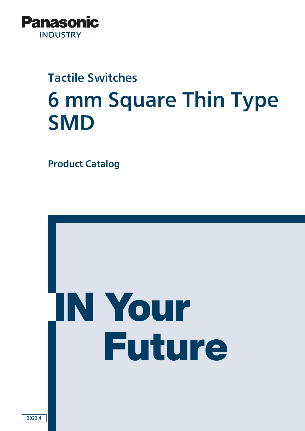

# Tactile Switches 6 mm Square Thin Type **SMD**

Product Catalog

# IN Your **Future**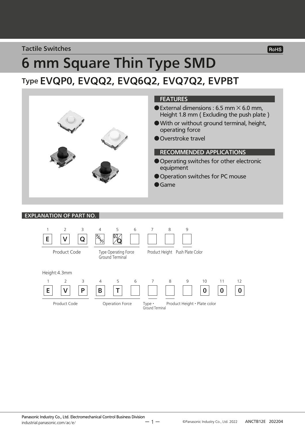#### Tactile Switches

# 6 mm Square Thin Type SMD Type EVQP0, EVQQ2, EVQ6Q2, EVQ7Q2, EVPBT



#### EXPLANATION OF PART NO.





RoHS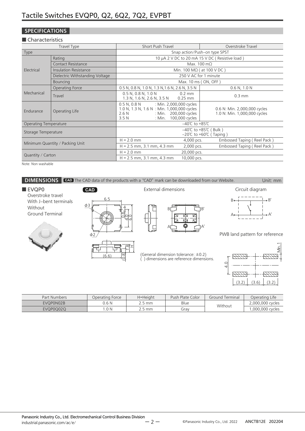#### **SPECIFICATIONS**

#### ■ Characteristics

|                              | Travel Type                     | <b>Short Push Travel</b>                                                                                                                                        | Overstroke Travel                                                       |
|------------------------------|---------------------------------|-----------------------------------------------------------------------------------------------------------------------------------------------------------------|-------------------------------------------------------------------------|
| Type                         |                                 |                                                                                                                                                                 | Snap action/Push-on type SPST                                           |
|                              | Rating                          | 10 µA 2 V DC to 20 mA 15 V DC (Resistive load)                                                                                                                  |                                                                         |
|                              | <b>Contact Resistance</b>       | Max. 100 m $\Omega$                                                                                                                                             |                                                                         |
| Electrical                   | Insulation Resistance           | Min. 100 MΩ (at 100 V DC)                                                                                                                                       |                                                                         |
|                              | Dielectric Withstanding Voltage | 250 V AC for 1 minute                                                                                                                                           |                                                                         |
|                              | <b>Bouncing</b>                 | Max. 10 ms (ON, OFF)                                                                                                                                            |                                                                         |
|                              | Operating Force                 | 0.5 N, 0.8 N, 1.0 N, 1.3 N, 1.6 N, 2.6 N, 3.5 N                                                                                                                 | 0.6 N, 1.0 N                                                            |
| Mechanical                   | Travel                          | $0.5$ N, $0.8$ N, $1.0$ N<br>$0.2 \text{ mm}$<br>1.3 N, 1.6 N, 2.6 N, 3.5 N<br>$0.25$ mm                                                                        | $0.3$ mm                                                                |
| Endurance                    | Operating Life                  | : Min. 2,000,000 cycles<br>$0.5$ N, $0.8$ N<br>1.0 N, 1.3 N, 1.6 N : Min. 1,000,000 cycles<br>: Min. 200,000 cycles<br>2.6N<br>100,000 cycles<br>: Min.<br>3.5N | 0.6 N: Min. 2,000,000 cycles<br>1.0 N: Min. 1,000,000 cycles            |
| <b>Operating Temperature</b> |                                 | $-40^{\circ}$ C to +85 $^{\circ}$ C                                                                                                                             |                                                                         |
| Storage Temperature          |                                 |                                                                                                                                                                 | –40°C to +85°C ( Bulk )<br>$-20^{\circ}$ C to +60 $^{\circ}$ C (Taping) |
|                              |                                 | $H = 2.0$ mm<br>4,000 pcs.                                                                                                                                      | Embossed Taping (Reel Pack)                                             |
|                              | Minimum Quantity / Packing Unit | $H = 2.5$ mm, 3.1 mm, 4.3 mm<br>2,000 pcs.                                                                                                                      | Embossed Taping (Reel Pack)                                             |
| Quantity / Carton            |                                 | $H = 2.0$ mm<br>20,000 pcs.                                                                                                                                     |                                                                         |
|                              |                                 | $H = 2.5$ mm, 3.1 mm, 4.3 mm<br>10,000 pcs.                                                                                                                     |                                                                         |

Note: Non washable



| Part Numbers | Operating Force | H=Height | Push Plate Color | Ground Terminal | Operating Life   |
|--------------|-----------------|----------|------------------|-----------------|------------------|
| EVQP0N02B    | 0.6 N           | .5 mm    | Blue             | Without         | 2.000.000 cycles |
| EVQP0Q02Q    | .0 N            | 2.5 mm   | Grav             |                 | .000.000 cycles  |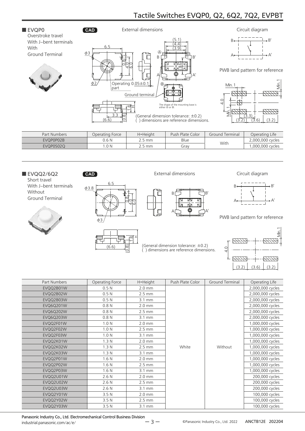

| Part Numbers | Operating Force | H=Height       | Push Plate Color | Ground Terminal | Operating Life   |
|--------------|-----------------|----------------|------------------|-----------------|------------------|
| EVQP0P02B    | 0.6 N           | <u>?.5 mm </u> | Blue             | With            | 2,000,000 cycles |
| EVQP0S02Q    | .0 N            | ີ 5 mm         | Grav             |                 | .000,000 cycles  |
|              |                 |                |                  |                 |                  |



Short travel With J-bent terminals Without Ground Terminal





External dimensions Circuit diagram

(General dimension tolerance: ±0.2) ( ) dimensions are reference dimensions.







PWB land pattern for reference



| Part Numbers     | Operating Force  | H=Height           | Push Plate Color | Ground Terminal | Operating Life   |
|------------------|------------------|--------------------|------------------|-----------------|------------------|
| EVQQ2B01W        | 0.5 <sub>N</sub> | $2.0$ mm           |                  |                 | 2,000,000 cycles |
| EVQQ2B02W        | 0.5 <sub>N</sub> | $2.5 \text{ mm}$   |                  |                 | 2,000,000 cycles |
| EVQQ2B03W        | 0.5 <sub>N</sub> | $3.1 \text{ mm}$   |                  |                 | 2,000,000 cycles |
| <b>EVQ6Q201W</b> | 0.8 <sub>N</sub> | $2.0$ mm           |                  |                 | 2,000,000 cycles |
| <b>EVQ6Q202W</b> | 0.8 <sub>N</sub> | $2.5 \text{ mm}$   |                  |                 | 2,000,000 cycles |
| EVQ6Q203W        | 0.8 <sub>N</sub> | $3.1 \text{ mm}$   |                  |                 | 2,000,000 cycles |
| EVQQ2F01W        | 1.0 <sub>N</sub> | $2.0$ mm           |                  |                 | 1,000,000 cycles |
| EVQQ2F02W        | 1.0 <sub>N</sub> | $2.5 \text{ mm}$   |                  |                 | 1,000,000 cycles |
| EVQQ2F03W        | 1.0 <sub>N</sub> | 3.1 mm             |                  |                 | 1,000,000 cycles |
| EVQQ2K01W        | 1.3 <sub>N</sub> | $2.0 \text{ mm}$   |                  | Without         | 1,000,000 cycles |
| EVQQ2K02W        | 1.3 <sub>N</sub> | $2.5 \, \text{mm}$ | White            |                 | 1,000,000 cycles |
| EVQQ2K03W        | 1.3 <sub>N</sub> | 3.1 mm             |                  |                 | 1,000,000 cycles |
| EVQQ2P01W        | 1.6 <sub>N</sub> | $2.0 \text{ mm}$   |                  |                 | 1,000,000 cycles |
| EVQQ2P02W        | 1.6 <sub>N</sub> | $2.5 \text{ mm}$   |                  |                 | 1,000,000 cycles |
| EVQQ2P03W        | 1.6 <sub>N</sub> | 3.1 mm             |                  |                 | 1,000,000 cycles |
| EVQQ2U01W        | 2.6N             | $2.0 \text{ mm}$   |                  |                 | 200,000 cycles   |
| EVQQ2U02W        | 2.6N             | $2.5 \text{ mm}$   |                  |                 | 200,000 cycles   |
| EVQQ2U03W        | 2.6N             | $3.1 \text{ mm}$   |                  |                 | 200,000 cycles   |
| EVQQ2Y01W        | 3.5 <sub>N</sub> | $2.0 \text{ mm}$   |                  |                 | 100,000 cycles   |
| EVQQ2Y02W        | 3.5 <sub>N</sub> | $2.5 \text{ mm}$   |                  |                 | 100,000 cycles   |
| EVQQ2Y03W        | 3.5 <sub>N</sub> | $3.1 \text{ mm}$   |                  |                 | 100,000 cycles   |
|                  |                  |                    |                  |                 |                  |

Panasonic Industry Co., Ltd. Electromechanical Control Business Division industrial.panasonic.com/ac/e/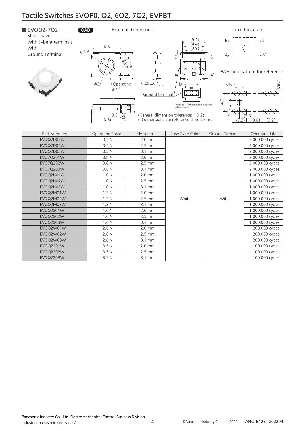

EVQQ2M02W 1.3 N 2.5 mm White With 1,000,000 cycles EVQQ2M03W 1.3 N 3.1 mm 2, 1, 3 N 3.1 mm 3.1 mm 3.1 mm 3.1 mm 3.1 mm 3.1 mm 3.1 mm 3.1 mm 3.1 mm 3.1 mm 3.1 mm 3.1 mm 3.1 mm 3.1 mm 3.1 mm 3.1 mm 3.1 mm 3.1 mm 3.1 mm 3.1 mm 3.1 mm 3.1 mm 3.1 mm 3.1 mm 3.1 mm 3.1 mm 3.1 mm EVQQ2S01W 1.6 N 2.0 mm 2.0 mm 2.0 mm 1,000,000 cycles EVQQ2S02W 1.6 N 2.5 mm 1,000,000 cycles EVQQ2S03W 1.6 N 3.1 mm 2, 1,000,000 cycles EVQQ2W01W 2.6 N 2.6 N 2.0 mm 2.00 mm 200,000 cycles EVQQ2W02W 2.6 N 2.6 N 2.5 mm 2.5 mm 2.5 mm 2.5 mm 200,000 cycles EVQQ2W03W 2.6 N 3.1 mm 200,000 cycles EVQQ2201W 3.5 N 2.0 mm 100,000 cycles EVQQ2202W 3.5 N 2.5 mm 2.5 mm 100,000 cycles EVQQ2203W 3.5 N 3.4 mm 3.1 mm 100,000 cycles

White | With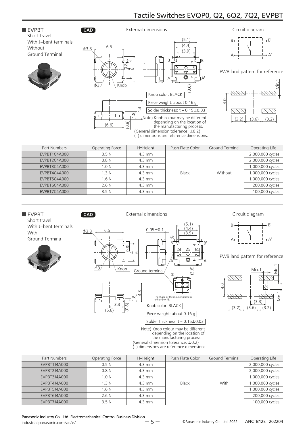#### ■ EVPBT **CAD** Short travel With J-bent terminals Without Ground Terminal





External dimensions



PWB land pattern for reference

 $\forall$ 

A



| Part Numbers | Operating Force  | H=Height         | Push Plate Color | Ground Terminal | Operating Life   |
|--------------|------------------|------------------|------------------|-----------------|------------------|
| EVPBT1C4A000 | 0.5N             | $4.3 \text{ mm}$ |                  |                 | 2,000,000 cycles |
| EVPBT2C4A000 | 0.8 <sub>N</sub> | $4.3 \text{ mm}$ |                  |                 | 2,000,000 cycles |
| EVPBT3C4A000 | 1.0 <sub>N</sub> | $4.3 \text{ mm}$ |                  |                 |                  |
| EVPBT4C4A000 | 1.3 <sub>N</sub> | $4.3 \text{ mm}$ | Black            | Without         | 1,000,000 cycles |
| EVPBT5C4A000 | 1.6 <sub>N</sub> | $4.3 \text{ mm}$ |                  |                 | 1,000,000 cycles |
| EVPBT6C4A000 | 2.6N             | $4.3 \text{ mm}$ |                  |                 | 200,000 cycles   |
| EVPBT7C4A000 | 3.5N             | $4.3 \text{ mm}$ |                  |                 | 100,000 cycles   |



| Part Numbers | Operating Force  | H=Height         | Push Plate Color | <b>Ground Terminal</b> | Operating Life   |
|--------------|------------------|------------------|------------------|------------------------|------------------|
| EVPBT1J4A000 | 0.5N             | $4.3 \text{ mm}$ |                  |                        | 2,000,000 cycles |
| EVPBT2J4A000 | 0.8N             | $4.3 \text{ mm}$ |                  |                        | 2,000,000 cycles |
| EVPBT3J4A000 | 1.0 <sub>N</sub> | $4.3 \text{ mm}$ |                  |                        | 1,000,000 cycles |
| EVPBT4J4A000 | 1.3N             | $4.3 \text{ mm}$ | Black            | With                   | 1,000,000 cycles |
| EVPBT5J4A000 | 1.6 <sub>N</sub> | $4.3 \text{ mm}$ |                  |                        | 1,000,000 cycles |
| EVPBT6J4A000 | 2.6N             | $4.3 \text{ mm}$ |                  |                        | 200,000 cycles   |
| EVPBT7J4A000 | 3.5N             | $4.3 \text{ mm}$ |                  |                        | 100,000 cycles   |

Panasonic Industry Co., Ltd. Electromechanical Control Business Division industrial.panasonic.com/ac/e/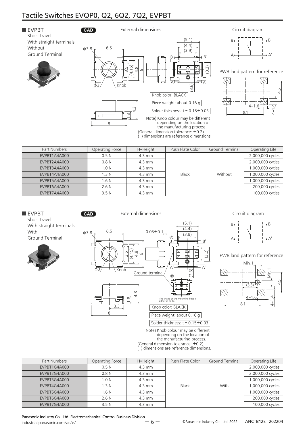

| Part Numbers | Operating Force  | H=Height         | Push Plate Color | <b>Ground Terminal</b> | Operating Life   |
|--------------|------------------|------------------|------------------|------------------------|------------------|
| EVPBT1A4A000 | 0.5N             | $4.3 \text{ mm}$ |                  |                        | 2,000,000 cycles |
| EVPBT2A4A000 | 0.8N             | $4.3 \text{ mm}$ |                  |                        | 2,000,000 cycles |
| EVPBT3A4A000 | 1.0 <sub>N</sub> | $4.3 \text{ mm}$ |                  |                        | 1,000,000 cycles |
| EVPBT4A4A000 | 1.3 <sub>N</sub> | $4.3 \text{ mm}$ | Black            | Without                | 1,000,000 cycles |
| EVPBT5A4A000 | 1.6 <sub>N</sub> | $4.3 \text{ mm}$ |                  |                        | 1,000,000 cycles |
| EVPBT6A4A000 | 2.6N             | $4.3 \text{ mm}$ |                  |                        | 200,000 cycles   |
| EVPBT7A4A000 | 3.5N             | $4.3 \text{ mm}$ |                  |                        | 100,000 cycles   |





PWB land pattern for reference



(General dimension tolerance: ±0.2) ( ) dimensions are reference dimensions.

| Operating Force  | H=Height         | Push Plate Color | Ground Terminal | Operating Life   |
|------------------|------------------|------------------|-----------------|------------------|
| 0.5N             | $4.3 \text{ mm}$ |                  |                 | 2,000,000 cycles |
| 0.8N             | $4.3 \text{ mm}$ |                  |                 | 2,000,000 cycles |
| 1.0 <sub>N</sub> | $4.3 \text{ mm}$ |                  |                 | 1,000,000 cycles |
| 1.3N             | $4.3 \text{ mm}$ | <b>Black</b>     | With            | 000,000 cycles   |
| 1.6 <sub>N</sub> | $4.3 \text{ mm}$ |                  |                 | 1,000,000 cycles |
| 2.6N             | $4.3 \text{ mm}$ |                  |                 | 200,000 cycles   |
| 3.5N             | $4.3 \text{ mm}$ |                  |                 | 100,000 cycles   |
|                  |                  |                  |                 |                  |

Panasonic Industry Co., Ltd. Electromechanical Control Business Division industrial.panasonic.com/ac/e/

With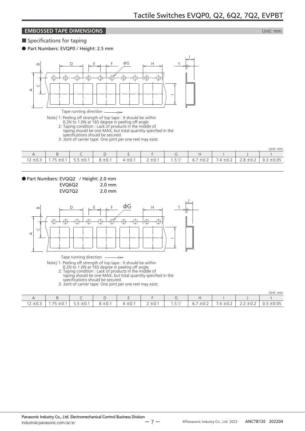#### **EMBOSSED TAPE DIMENSIONS EMBOSSED TAPE DIMENSIONS**

■ Specifications for taping

● Part Numbers: EVQP0 / Height: 2.5 mm



Tape running direction

Note) 1: Peeling off strength of top tape : It should be within

- 0.2N to 1.0N at 165 degree in peeling off angle.
- 2: Taping condition : Lack of products in the middle of
- taping should be one MAX, but total quantity specified in the specifications should be secured.
- 3: Joint of carrier tape: One joint per one reel may exist.

|                                      |                                                      |                                   |             |                        |                            |                        |                                           |      |                                                      | Unit: mm     |
|--------------------------------------|------------------------------------------------------|-----------------------------------|-------------|------------------------|----------------------------|------------------------|-------------------------------------------|------|------------------------------------------------------|--------------|
|                                      |                                                      |                                   |             | –                      |                            |                        |                                           |      |                                                      |              |
| 121<br>$\sim$ $\sim$<br>▏∠<br>$-0.5$ | フロ<br>$\sim$ $\sim$<br>$\cdot$ $\prime$<br>ے<br>— ∪. | $\sim$ $\sim$<br>≧±∪…<br><u>.</u> | $8 \pm 0.1$ | ±0.1<br>$\overline{4}$ | $2 + 0$<br>∸∽.<br><u>_</u> | $\sqrt{5}$ +0.1<br>ر . | 6.7<br>$\sim$ $\sim$<br>$+$ $($<br>$-0.4$ | ∸∪.∠ | $\sim$ $\sim$<br>$\overline{\phantom{0}}$<br>.<br>۰۰ | ±0.05<br>◡.◡ |



EVQ7Q2 2.0 mm



Tape running direction

Note) 1: Peeling off strength of top tape : It should be within

0.2N to 1.0N at 165 degree in peeling off angle.

2: Taping condition : Lack of products in the middle of taping should be one MAX, but total quantity specified in the

 $\rightarrow$ 

specifications should be secured.

3: Joint of carrier tape: One joint per one reel may exist.

|                                 |                                                                                 |                                |                           |           |                          |                         |                                                                    |                                         |                                        | Unit: mm     |
|---------------------------------|---------------------------------------------------------------------------------|--------------------------------|---------------------------|-----------|--------------------------|-------------------------|--------------------------------------------------------------------|-----------------------------------------|----------------------------------------|--------------|
|                                 |                                                                                 | -<br>╰                         |                           |           |                          |                         |                                                                    |                                         |                                        |              |
| 1212<br>$ \circ$ . $\circ$<br>∼ | $\overline{\phantom{a}}$<br>$+1$<br>$\equiv$ $\sim$<br>$\overline{\phantom{0}}$ | 5.5:<br>$\sim$ 1<br>— 1<br>∸∪. | $\sim$ $\sim$<br>× ± U. . | $\pm 0.1$ | $\gamma$ +u<br>$2 - 0.1$ | $E + 0.1$<br>$-11$<br>. | $\overline{\phantom{a}}$<br>$\sim$ $\sim$<br>$+1$<br>b.,<br>$-0.2$ | -<br>$\sim$<br>$\overline{4}$<br>$-0.2$ | -<br>$\sim$<br>土U.Z<br>$\sim$ . $\sim$ | ±0.05<br>◡.◡ |

ー 7 ー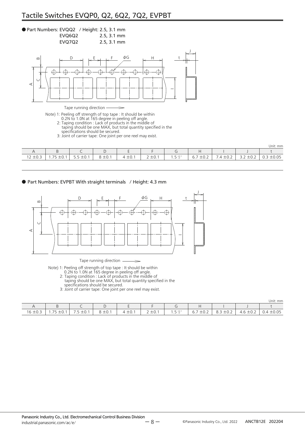#### ● Part Numbers: EVQQ2 / Height: 2.5, 3.1 mm EVQ6Q2 2.5, 3.1 mm

EVQ7Q2 2.5, 3.1 mm



 $\Rightarrow$ 

Tape running direction

Note) 1: Peeling off strength of top tape : It should be within

0.2N to 1.0N at 165 degree in peeling off angle.

2: Taping condition : Lack of products in the middle of

taping should be one MAX, but total quantity specified in the specifications should be secured.

3: Joint of carrier tape: One joint per one reel may exist.

|                                                      |                                  |                                                           |                                  |                                          |                                                                        |                         |                                                   |                         |                                                       | Unit: mm                 |
|------------------------------------------------------|----------------------------------|-----------------------------------------------------------|----------------------------------|------------------------------------------|------------------------------------------------------------------------|-------------------------|---------------------------------------------------|-------------------------|-------------------------------------------------------|--------------------------|
|                                                      |                                  |                                                           | . .                              |                                          |                                                                        |                         |                                                   |                         |                                                       |                          |
| $\sim$<br>$\sim$ $\sim$<br>. .<br>$ \circ$ . $\circ$ | $- -$<br>$-\cup \cdot$<br>-<br>. | $\sim$<br>$\overline{\phantom{0}}$<br>ີ ⊥∪. ∖<br><u>.</u> | $\sim$<br>$\sim$<br><b>エ∪.</b> I | $\sim$<br>$4 \pm 0.$ .<br>$\overline{ }$ | $\overline{\phantom{a}}$<br>$\sim$<br>$\overline{\phantom{0}}$<br>— ∪… | $r + 0$ .<br>ر<br>$-11$ | $ -$<br>$\sim$ $\sim$<br>h<br>$-0.2$<br>$\cup$ ., | $\sim$<br>. .<br>$-0.4$ | $\sim$ $\sim$<br>-<br>--<br>$-0.4$<br>$\sim$ . $\sim$ | $\cap$<br>—…<br><u>.</u> |

● Part Numbers: EVPBT With straight terminals / Height: 4.3 mm



Tape running direction  $\overline{a}$ 

Note) 1: Peeling off strength of top tape : It should be within

0.2N to 1.0N at 165 degree in peeling off angle.

2: Taping condition : Lack of products in the middle of

taping should be one MAX, but total quantity specified in the specifications should be secured.

3: Joint of carrier tape: One joint per one reel may exist.

Unit: mm

|              |                  |                              |                      |             |                           |                                          |                       |                          |             | UIIIU. IIIII   |
|--------------|------------------|------------------------------|----------------------|-------------|---------------------------|------------------------------------------|-----------------------|--------------------------|-------------|----------------|
|              |                  |                              |                      |             |                           |                                          |                       |                          |             |                |
| $16 \pm 0.5$ | $\neg r$<br>— U. | $\sim$ $ \sim$ $\sim$ $\sim$ | $+0.1$<br>$ \circ$ . | $4 \pm 0.1$ | $+01$<br>$\sim$ $\circ$ . | $E + 0.1$<br>$\ddot{\phantom{1}}$<br>. ب | $+0.2$<br>6.7<br>∸∪.∠ | 8.3<br>$ \circ$ . $\sim$ | 4.6<br>±0.2 | $0.4 \pm 0.05$ |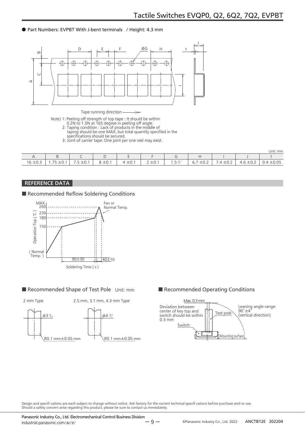#### ● Part Numbers: EVPBT With J-bent terminals / Height: 4.3 mm



Tape running direction

- Note) 1: Peeling off strength of top tape : It should be within
	- 0.2N to 1.0N at 165 degree in peeling off angle.
	- 2: Taping condition : Lack of products in the middle of taping should be one MAX, but total quantity specified in the
		- specifications should be secured.
	- 3: Joint of carrier tape: One joint per one reel may exist.

|                                    |                                            |                                |                                   |               |                                                       |                            |                                          |                                   |                        | Unit: mm                        |
|------------------------------------|--------------------------------------------|--------------------------------|-----------------------------------|---------------|-------------------------------------------------------|----------------------------|------------------------------------------|-----------------------------------|------------------------|---------------------------------|
|                                    |                                            |                                |                                   |               |                                                       |                            |                                          |                                   |                        |                                 |
| $\sim$ $\sim$<br>$\sim$<br>l6 ±0.3 | $- -$<br>∸∪.<br>.<br>$\tilde{\phantom{a}}$ | $\sim$<br><u>ື່</u> ∟∨. .<br>. | $\sim$ $\sim$<br>—<br>$   -$<br>ັ | $\sim$<br>士U. | $\sim$<br>$\overline{\phantom{0}}$<br>∸ ∪<br><u>_</u> | $\sim$ $ \sim$<br>. ⊖ ل. ، | <u>_</u><br>$\sim$ $\sim$<br>6.7<br>IU.Z | $\sim$<br>$\prime$<br>⊥∪⊐<br>۰. 4 | $\sim$<br>∸∪.∠<br>т. О | ±0.05<br>$\overline{4}$<br>ັ∨.¬ |

#### REFERENCE DATA

■ Recommended Reflow Soldering Conditions



#### ■ Recommended Shape of Test Pole Unit: mm ■ Recommended Operating Conditions





Design and specifi cations are each subject to change without notice. Ask factory for the current technical specifi cations before purchase and/or use. Should a safety concern arise regarding this product, please be sure to contact us immediately.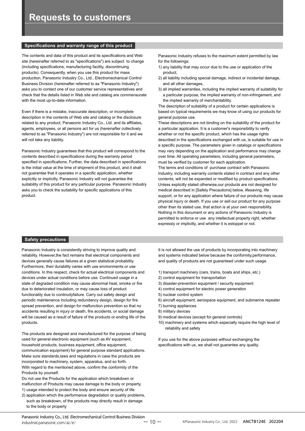#### **Specifications and warranty range of this product**

The contents and data of this product and its specifications and Web site (hereinafter referred to as "specifications") are subject to change (including specifications, manufacturing facility, discontinuing products). Consequently, when you use this product for mass production, Panasonic Industry Co., Ltd., Electromechanical Control Business Division (hereinafter referred to as "Panasonic Industry") asks you to contact one of our customer service representatives and check that the details listed in Web site and catalog are commensurate with the most up-to-date information.

Even if there is a mistake, inaccurate description, or incomplete description in the contents of Web site and catalog or the disclosure related to any product, Panasonic Industry Co., Ltd. and its affiliates, agents, employees, or all persons act for us (hereinafter collectively referred to as "Panasonic Industry") are not responsible for it and we will not take any liability.

Panasonic Industry guarantees that this product will correspond to the contents described in specifications during the warranty period specified in specifications. Further, the data described in specifications is the initial value at the time of shipment of this product, and it shall not guarantee that it operates in a specific application, whether explicitly or implicitly. Panasonic Industry will not guarantee the suitability of this product for any particular purpose. Panasonic Industry asks you to check the suitability for specific applications of this product.

Panasonic Industry refuses to the maximum extent permitted by law for the followings:

- 1) any liability that may occur due to the use or application of the product,
- 2) all liability including special damage, indirect or incidental damage, and all other damages,
- 3) all implied warranties, including the implied warranty of suitability for a particular purpose, the implied warranty of non-infringement, and the implied warranty of merchantability.

The description of suitability of a product for certain applications is based on typical requirements we may know of using our products for general purpose use.

These descriptions are not binding on the suitability of the product for a particular application. It is a customer's responsibility to verify whether or not the specific product, which has the usage rights described in the specifications exchanged with us, is suitable for use in a specific purpose. The parameters given in catalogs or specifications may vary depending on the application and performance may change over time. All operating parameters, including general parameters, must be verified by customer for each application.

The terms and conditions of purchase contract with Panasonic Industry, including warranty contents stated in contract and any other contents, will not be expanded or modified by product specifications. Unless explicitly stated otherwise,our products are not designed for medical described in [Safety Precautions] below, lifesaving, life support, or for any application where failure of our products may cause physical injury or death. If you use or sell our product for any purpose other than its stated use, that action is at your own responsibility. Nothing in this document or any actions of Panasonic Industry is permitted to enforce or use any intellectual property right, whether expressly or implicitly, and whether it is estoppel or not.

#### **Safety precautions**

Panasonic Industry is consistently striving to improve quality and reliability. However,the fact remains that electrical components and devices generally cause failures at a given statistical probability. Furthermore, their durability varies with use environments or use conditions. In this respect, check for actual electrical components and devices under actual conditions before use. Continued usage in a state of degraded condition may cause abnormal heat, smoke or fire due to deteriorated insulation, or may cause loss of product functionality due to continuityfailure. Carry out safety design and periodic maintenance including redundancy design, design for fire spread prevention, and design for malfunction prevention so that no accidents resulting in injury or death, fire accidents, or social damage will be caused as a result of failure of the products or ending life of the products.

The products are designed and manufactured for the purpose of being used for general electronic equipment (such as AV equipment, household products, business equipment, office equipment, communication equipment) for general purpose standard applications. Make sure standards,laws and regulations in case the products are incorporated to machinery, system, apparatus, and so forth. With regard to the mentioned above, confirm the conformity of the Products by yourself.

Do not use the Products for the application which breakdown or malfunction of Products may cause damage to the body or property. 1) usage intended to protect the body and ensure security of life

2) application which the performance degradation or quality problems, such as breakdown, of the products may directly result in damage to the body or property

It is not allowed the use of products by incorporating into machinery and systems indicated below because the conformity,performance, and quality of products are not guaranteed under such usage.

- 1) transport machinery (cars, trains, boats and ships, etc.)
- 2) control equipment for transportation
- 3) disaster-prevention equipment / security equipment
- 4) control equipment for electric power generation
- 5) nuclear control system
- 6) aircraft equipment, aerospace equipment, and submarine repeater
- 7) burning appliances
- 8) military devices
- 9) medical devices (except for general controls)
- 10) machinery and systems which especially require the high level of reliability and safety

If you use for the above purposes without exchanging the specifications with us, we shall not guarantee any quality.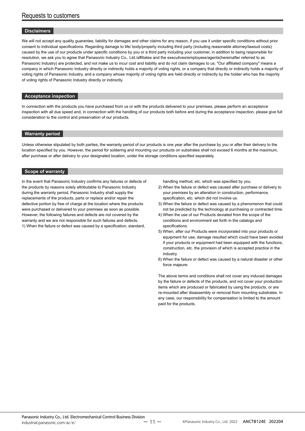#### **Disclaimers**

We will not accept any quality guarantee, liability for damages and other claims for any reason, if you use it under specific conditions without prior consent to individual specifications. Regarding damage to life/ body/property including third party (including reasonable attorney/lawsuit costs) caused by the use of our products under specific conditions by you or a third party including your customer, in addition to being responsible for resolution, we ask you to agree that Panasonic Industry Co., Ltd./affiliates and the executives/employees/agents(hereinafter referred to as Panasonic Industry) are protected, and not make us to incur cost and liability and do not claim damages to us. "Our affiliated company" means a company in which Panasonic Industry directly or indirectly holds a majority of voting rights, or a company that directly or indirectly holds a majority of voting rights of Panasonic Industry, and a company whose majority of voting rights are held directly or indirectly by the holder who has the majority of voting rights of Panasonic Industry directly or indirectly.

#### **Acceptance inspection**

In connection with the products you have purchased from us or with the products delivered to your premises, please perform an acceptance inspection with all due speed and, in connection with the handling of our products both before and during the acceptance inspection, please give full consideration to the control and preservation of our products.

#### **Warranty period**

Unless otherwise stipulated by both parties, the warranty period of our products is one year after the purchase by you or after their delivery to the location specified by you. However, the period for soldering and mounting our products on substrates shall not exceed 6 months at the maximum, after purchase or after delivery to your designated location, under the storage conditions specified separately.

#### **Scope of warranty**

In the event that Panasonic Industry confirms any failures or defects of the products by reasons solely attributable to Panasonic Industry during the warranty period, Panasonic Industry shall supply the replacements of the products, parts or replace and/or repair the defective portion by free of charge at the location where the products were purchased or delivered to your premises as soon as possible. However, the following failures and defects are not covered by the warranty and we are not responsible for such failures and defects. 1) When the failure or defect was caused by a specification, standard,

handling method, etc. which was specified by you.

- 2) When the failure or defect was caused after purchase or delivery to your premises by an alteration in construction, performance, specification, etc. which did not involve us.
- 3) When the failure or defect was caused by a phenomenon that could not be predicted by the technology at purchasing or contracted time.
- 4) When the use of our Products deviated from the scope of the conditions and environment set forth in the catalogs and specifications.
- 5) When, after our Products were incorporated into your products or equipment for use, damage resulted which could have been avoided if your products or equipment had been equipped with the functions, construction, etc. the provision of which is accepted practice in the industry.
- 6) When the failure or defect was caused by a natural disaster or other force majeure.

The above terms and conditions shall not cover any induced damages by the failure or defects of the products, and not cover your production items which are produced or fabricated by using the products, or are re-mounted after disassembly or removal from mounting substrates. In any case, our responsibility for compensation is limited to the amount paid for the products.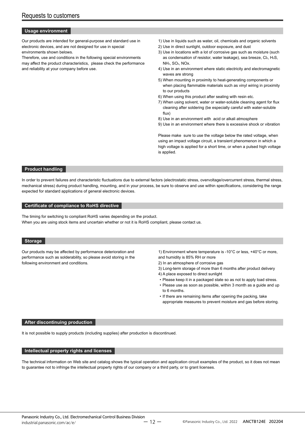#### **Usage environment**

Our products are intended for general-purpose and standard use in electronic devices, and are not designed for use in special environments shown belows.

Therefore, use and conditions in the following special environments may affect the product characteristics, please check the performance and reliability at your company before use.

- 1) Use in liquids such as water, oil, chemicals and organic solvents
- 2) Use in direct sunlight, outdoor exposure, and dust
- 3) Use in locations with a lot of corrosive gas such as moisture (such as condensation of resistor, water leakage), sea breeze, Cl2, H2S, NH3, SO2, NOx.
- 4) Use in an environment where static electricity and electromagnetic waves are strong
- 5) When mounting in proximity to heat-generating components or when placing flammable materials such as vinyl wiring in proximity to our products
- 6) When using this product after sealing with resin etc.
- 7) When using solvent, water or water-soluble cleaning agent for flux cleaning after soldering (be especially careful with water-soluble flux)
- 8) Use in an environment with acid or alkali atmosphere
- 9) Use in an environment where there is excessive shock or vibration

Please make sure to use the voltage below the rated voltage, when using an impact voltage circuit, a transient phenomenon in which a high voltage is applied for a short time, or when a pulsed high voltage is applied.

#### **Product handling**

In order to prevent failures and characteristic fluctuations due to external factors (electrostatic stress, overvoltage/overcurrent stress, thermal stress, mechanical stress) during product handling, mounting, and in your process, be sure to observe and use within specifications, considering the range expected for standard applications of general electronic devices.

#### **Certificate of compliance to RoHS directive**

The timing for switching to compliant RoHS varies depending on the product. When you are using stock items and uncertain whether or not it is RoHS compliant, please contact us.

#### **Storage**

Our products may be affected by performance deterioration and performance such as solderability, so please avoid storing in the following environment and conditions.

1) Environment where temperature is -10°C or less, +40°C or more, and humidity is 85% RH or more

- 2) In an atmosphere of corrosive gas
- 3) Long-term storage of more than 6 months after product delivery
- 4) A place exposed to direct sunlight
- Please keep it in a packaged state so as not to apply load stress.
- Please use as soon as possible, within 3 month as a guide and up to 6 months.
- If there are remaining items after opening the packing, take appropriate measures to prevent moisture and gas before storing.

#### **After discontinuing production**

It is not possible to supply products (including supplies) after production is discontinued.

#### **Intellectual property rights and licenses**

The technical information on Web site and catalog shows the typical operation and application circuit examples of the product, so it does not mean to guarantee not to infringe the intellectual property rights of our company or a third party, or to grant licenses.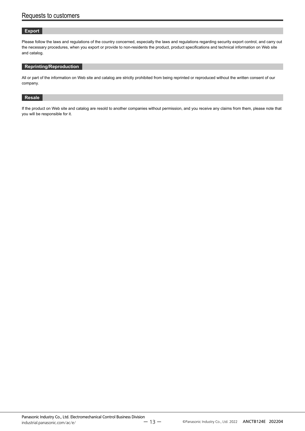#### **Export**

Please follow the laws and regulations of the country concerned, especially the laws and regulations regarding security export control, and carry out the necessary procedures, when you export or provide to non-residents the product, product specifications and technical information on Web site and catalog.

#### **Reprinting/Reproduction**

All or part of the information on Web site and catalog are strictly prohibited from being reprinted or reproduced without the written consent of our company.

#### **Resale**

If the product on Web site and catalog are resold to another companies without permission, and you receive any claims from them, please note that you will be responsible for it.